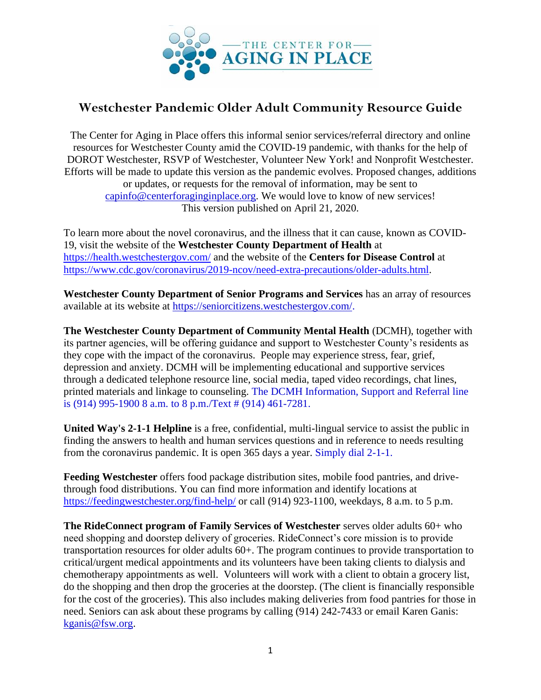

## **Westchester Pandemic Older Adult Community Resource Guide**

The Center for Aging in Place offers this informal senior services/referral directory and online resources for Westchester County amid the COVID-19 pandemic, with thanks for the help of DOROT Westchester, RSVP of Westchester, Volunteer New York! and Nonprofit Westchester. Efforts will be made to update this version as the pandemic evolves. Proposed changes, additions or updates, or requests for the removal of information, may be sent to [capinfo@centerforaginginplace.org.](mailto:capinfo@centerforaginginplace.org) We would love to know of new services! This version published on April 21, 2020.

To learn more about the novel coronavirus, and the illness that it can cause, known as COVID-19, visit the website of the **Westchester County Department of Health** at <https://health.westchestergov.com/> and the website of the **Centers for Disease Control** at [https://www.cdc.gov/coronavirus/2019-ncov/need-extra-precautions/older-adults.html.](https://www.cdc.gov/coronavirus/2019-ncov/need-extra-precautions/older-adults.html)

**Westchester County Department of Senior Programs and Services** has an array of resources available at its website at [https://seniorcitizens.westchestergov.com/.](https://seniorcitizens.westchestergov.com/)

**The Westchester County Department of Community Mental Health** (DCMH), together with its partner agencies, will be offering guidance and support to Westchester County's residents as they cope with the impact of the coronavirus. People may experience stress, fear, grief, depression and anxiety. DCMH will be implementing educational and supportive services through a dedicated telephone resource line, social media, taped video recordings, chat lines, printed materials and linkage to counseling. The DCMH Information, Support and Referral line is (914) 995-1900 8 a.m. to 8 p.m./Text # (914) 461-7281.

**United Way's 2-1-1 Helpline** is a free, confidential, multi-lingual service to assist the public in finding the answers to health and human services questions and in reference to needs resulting from the coronavirus pandemic. It is open 365 days a year. Simply dial 2-1-1.

**Feeding Westchester** offers food package distribution sites, mobile food pantries, and drivethrough food distributions. You can find more information and identify locations at <https://feedingwestchester.org/find-help/> or call (914) 923-1100, weekdays, 8 a.m. to 5 p.m.

**The RideConnect program of Family Services of Westchester** serves older adults 60+ who need shopping and doorstep delivery of groceries. RideConnect's core mission is to provide transportation resources for older adults 60+. The program continues to provide transportation to critical/urgent medical appointments and its volunteers have been taking clients to dialysis and chemotherapy appointments as well. Volunteers will work with a client to obtain a grocery list, do the shopping and then drop the groceries at the doorstep. (The client is financially responsible for the cost of the groceries). This also includes making deliveries from food pantries for those in need. Seniors can ask about these programs by calling (914) 242-7433 or email Karen Ganis: [kganis@fsw.org.](mailto:kganis@fsw.org)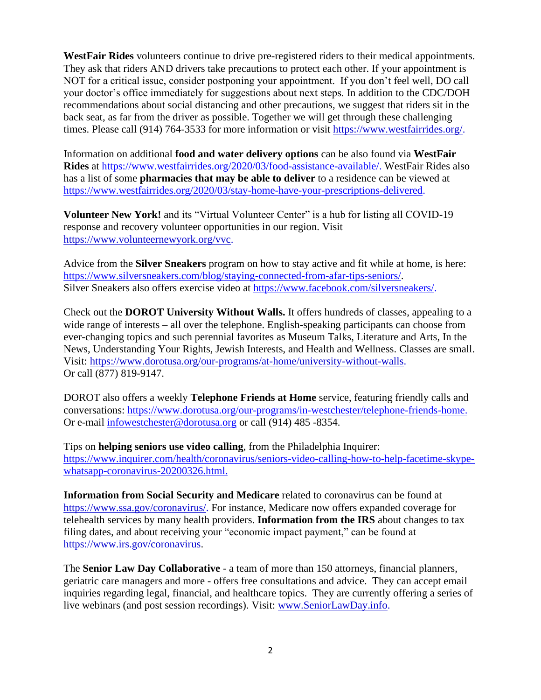**WestFair Rides** volunteers continue to drive pre-registered riders to their medical appointments. They ask that riders AND drivers take precautions to protect each other. If your appointment is NOT for a critical issue, consider postponing your appointment. If you don't feel well, DO call your doctor's office immediately for suggestions about next steps. In addition to the CDC/DOH recommendations about social distancing and other precautions, we suggest that riders sit in the back seat, as far from the driver as possible. Together we will get through these challenging times. Please call (914) 764-3533 for more information or visit [https://www.westfairrides.org/.](https://www.westfairrides.org/)

Information on additional **food and water delivery options** can be also found via **WestFair Rides** at [https://www.westfairrides.org/2020/03/food-assistance-available/.](https://www.westfairrides.org/2020/03/food-assistance-available/) WestFair Rides also has a list of some **pharmacies that may be able to deliver** to a residence can be viewed at [https://www.westfairrides.org/2020/03/stay-home-have-your-prescriptions-delivered.](https://www.westfairrides.org/2020/03/stay-home-have-your-prescriptions-delivered)

**Volunteer New York!** and its "Virtual Volunteer Center" is a hub for listing all COVID-19 response and recovery volunteer opportunities in our region. Visit [https://www.volunteernewyork.org/vvc.](https://www.volunteernewyork.org/vvc)

Advice from the **Silver Sneakers** program on how to stay active and fit while at home, is here: [https://www.silversneakers.com/blog/staying-connected-from-afar-tips-seniors/.](https://www.silversneakers.com/blog/staying-connected-from-afar-tips-seniors/) Silver Sneakers also offers exercise video at [https://www.facebook.com/silversneakers/.](https://www.facebook.com/silversneakers/)

Check out the **DOROT University Without Walls.** It offers hundreds of classes, appealing to a wide range of interests – all over the telephone. English-speaking participants can choose from ever-changing topics and such perennial favorites as Museum Talks, Literature and Arts, In the News, Understanding Your Rights, Jewish Interests, and Health and Wellness. Classes are small. Visit: [https://www.dorotusa.org/our-programs/at-home/university-without-walls.](https://www.dorotusa.org/our-programs/at-home/university-without-walls) Or call (877) 819-9147.

DOROT also offers a weekly **Telephone Friends at Home** service, featuring friendly calls and conversations: [https://www.dorotusa.org/our-programs/in-westchester/telephone-friends-home.](https://www.dorotusa.org/our-programs/in-westchester/telephone-friends-home) Or e-mail [infowestchester@dorotusa.org](mailto:infowestchester@dorotusa.org) or call (914) 485 -8354.

Tips on **helping seniors use video calling**, from the Philadelphia Inquirer: [https://www.inquirer.com/health/coronavirus/seniors-video-calling-how-to-help-facetime-skype](https://www.inquirer.com/health/coronavirus/seniors-video-calling-how-to-help-facetime-skype-whatsapp-coronavirus-20200326.html)[whatsapp-coronavirus-20200326.html.](https://www.inquirer.com/health/coronavirus/seniors-video-calling-how-to-help-facetime-skype-whatsapp-coronavirus-20200326.html)

**Information from Social Security and Medicare** related to coronavirus can be found at [https://www.ssa.gov/coronavirus/.](https://www.ssa.gov/coronavirus/) For instance, Medicare now offers expanded coverage for telehealth services by many health providers. **Information from the IRS** about changes to tax filing dates, and about receiving your "economic impact payment," can be found at [https://www.irs.gov/coronavirus.](https://www.irs.gov/coronavirus)

The **Senior Law Day Collaborative** - a team of more than 150 attorneys, financial planners, geriatric care managers and more - offers free consultations and advice. They can accept email inquiries regarding legal, financial, and healthcare topics. They are currently offering a series of live webinars (and post session recordings). Visit: [www.SeniorLawDay.info.](http://www.seniorlawday.info/)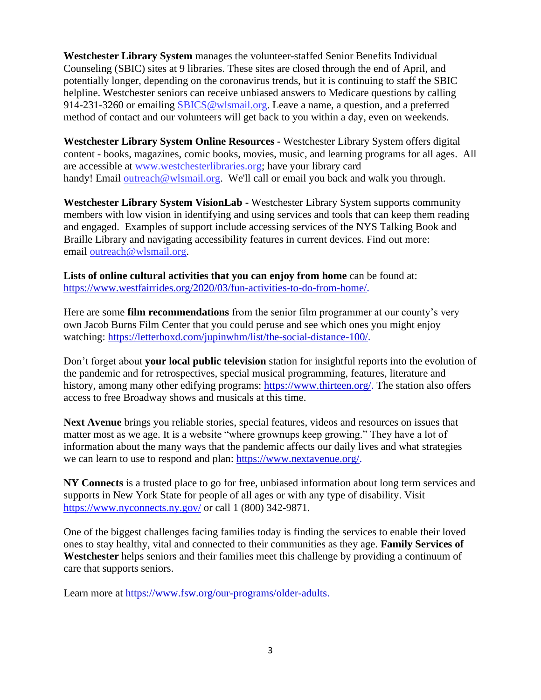**Westchester Library System** manages the volunteer-staffed Senior Benefits Individual Counseling (SBIC) sites at 9 libraries. These sites are closed through the end of April, and potentially longer, depending on the coronavirus trends, but it is continuing to staff the SBIC helpline. Westchester seniors can receive unbiased answers to Medicare questions by calling 914-231-3260 or emailing [SBICS@wlsmail.org.](mailto:SBICS@wlsmail.org) Leave a name, a question, and a preferred method of contact and our volunteers will get back to you within a day, even on weekends.

**Westchester Library System Online Resources -** Westchester Library System offers digital content - books, magazines, comic books, movies, music, and learning programs for all ages. All are accessible at [www.westchesterlibraries.org;](http://www.westchesterlibraries.org/) have your library card handy! Email [outreach@wlsmail.org.](mailto:outreach@wlsmail.org) We'll call or email you back and walk you through.

**Westchester Library System VisionLab -** Westchester Library System supports community members with low vision in identifying and using services and tools that can keep them reading and engaged. Examples of support include accessing services of the NYS Talking Book and Braille Library and navigating accessibility features in current devices. Find out more: email [outreach@wlsmail.org.](mailto:outreach@wlsmail.org)

**Lists of online cultural activities that you can enjoy from home** can be found at: [https://www.westfairrides.org/2020/03/fun-activities-to-do-from-home/.](https://www.westfairrides.org/2020/03/fun-activities-to-do-from-home/)

Here are some **film recommendations** from the senior film programmer at our county's very own Jacob Burns Film Center that you could peruse and see which ones you might enjoy watching: [https://letterboxd.com/jupinwhm/list/the-social-distance-100/.](https://letterboxd.com/jupinwhm/list/the-social-distance-100/)

Don't forget about **your local public television** station for insightful reports into the evolution of the pandemic and for retrospectives, special musical programming, features, literature and history, among many other edifying programs: [https://www.thirteen.org/.](https://www.thirteen.org/) The station also offers access to free Broadway shows and musicals at this time.

**Next Avenue** brings you reliable stories, special features, videos and resources on issues that matter most as we age. It is a website "where grownups keep growing." They have a lot of information about the many ways that the pandemic affects our daily lives and what strategies we can learn to use to respond and plan: [https://www.nextavenue.org/.](https://www.nextavenue.org/)

**NY Connects** is a trusted place to go for free, unbiased information about long term services and supports in New York State for people of all ages or with any type of disability. Visit <https://www.nyconnects.ny.gov/> or call 1 (800) 342-9871.

One of the biggest challenges facing families today is finding the services to enable their loved ones to stay healthy, vital and connected to their communities as they age. **Family Services of Westchester** helps seniors and their families meet this challenge by providing a continuum of care that supports seniors.

Learn more at [https://www.fsw.org/our-programs/older-adults.](https://www.fsw.org/our-programs/older-adults)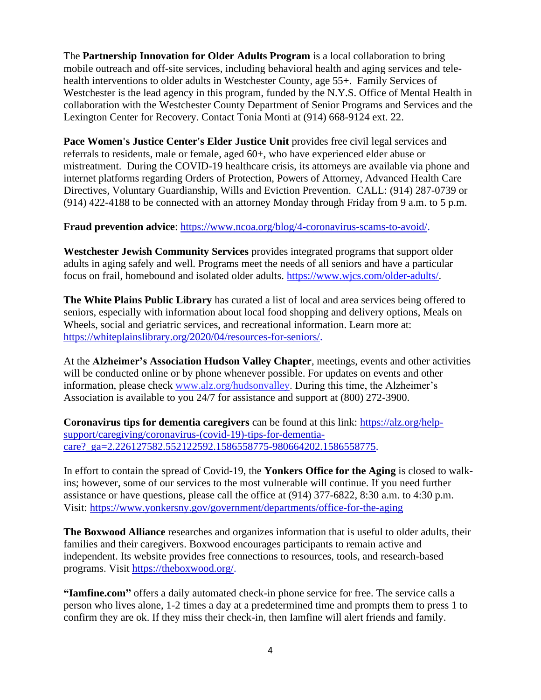The **Partnership Innovation for Older Adults Program** is a local collaboration to bring mobile outreach and off-site services, including behavioral health and aging services and telehealth interventions to older adults in Westchester County, age 55+. Family Services of Westchester is the lead agency in this program, funded by the N.Y.S. Office of Mental Health in collaboration with the Westchester County Department of Senior Programs and Services and the Lexington Center for Recovery. Contact Tonia Monti at (914) 668-9124 ext. 22.

**Pace Women's Justice Center's Elder Justice Unit** provides free civil legal services and referrals to residents, male or female, aged 60+, who have experienced elder abuse or mistreatment. During the COVID-19 healthcare crisis, its attorneys are available via phone and internet platforms regarding Orders of Protection, Powers of Attorney, Advanced Health Care Directives, Voluntary Guardianship, Wills and Eviction Prevention. CALL: (914) 287-0739 or (914) 422-4188 to be connected with an attorney Monday through Friday from 9 a.m. to 5 p.m.

**Fraud prevention advice**: [https://www.ncoa.org/blog/4-coronavirus-scams-to-avoid/.](https://www.ncoa.org/blog/4-coronavirus-scams-to-avoid/)

**Westchester Jewish Community Services** provides integrated programs that support older adults in aging safely and well. Programs meet the needs of all seniors and have a particular focus on frail, homebound and isolated older adults. [https://www.wjcs.com/older-adults/.](https://www.wjcs.com/older-adults/)

**The White Plains Public Library** has curated a list of local and area services being offered to seniors, especially with information about local food shopping and delivery options, Meals on Wheels, social and geriatric services, and recreational information. Learn more at: [https://whiteplainslibrary.org/2020/04/resources-for-seniors/.](https://whiteplainslibrary.org/2020/04/resources-for-seniors/)

At the **Alzheimer's Association Hudson Valley Chapter**, meetings, events and other activities will be conducted online or by phone whenever possible. For updates on events and other information, please check [www.alz.org/hudsonvalley.](http://www.alz.org/hudsonvalley) During this time, the Alzheimer's Association is available to you 24/7 for assistance and support at (800) 272-3900.

**Coronavirus tips for dementia caregivers** can be found at this link: [https://alz.org/help](https://alz.org/help-support/caregiving/coronavirus-(covid-19)-tips-for-dementia-care?_ga=2.226127582.552122592.1586558775-980664202.1586558775)[support/caregiving/coronavirus-\(covid-19\)-tips-for-dementia](https://alz.org/help-support/caregiving/coronavirus-(covid-19)-tips-for-dementia-care?_ga=2.226127582.552122592.1586558775-980664202.1586558775)care? ga=2.226127582.552122592.1586558775-980664202.1586558775.

In effort to contain the spread of Covid-19, the **Yonkers Office for the Aging** is closed to walkins; however, some of our services to the most vulnerable will continue. If you need further assistance or have questions, please call the office at (914) 377-6822, 8:30 a.m. to 4:30 p.m. Visit:<https://www.yonkersny.gov/government/departments/office-for-the-aging>

**The Boxwood Alliance** researches and organizes information that is useful to older adults, their families and their caregivers. Boxwood encourages participants to remain active and independent. Its website provides free connections to resources, tools, and research-based programs. Visit [https://theboxwood.org/.](https://theboxwood.org/)

**["Iamfine.com"](http://iamfine.com/)** offers a daily automated check-in phone service for free. The service calls a person who lives alone, 1-2 times a day at a predetermined time and prompts them to press 1 to confirm they are ok. If they miss their check-in, then Iamfine will alert friends and family.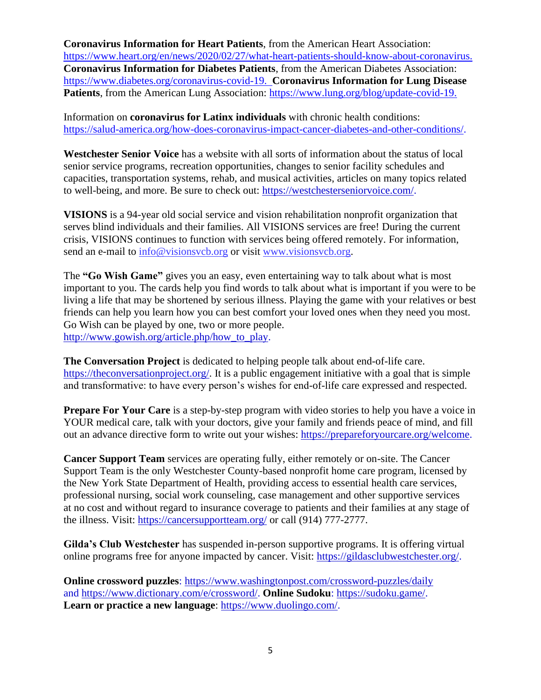**Coronavirus Information for Heart Patients**, from the American Heart Association: [https://www.heart.org/en/news/2020/02/27/what-heart-patients-should-know-about-coronavirus.](https://www.heart.org/en/news/2020/02/27/what-heart-patients-should-know-about-coronavirus) **Coronavirus Information for Diabetes Patients**, from the American Diabetes Association: [https://www.diabetes.org/coronavirus-covid-19.](https://www.diabetes.org/coronavirus-covid-19) **Coronavirus Information for Lung Disease Patients**, from the American Lung Association: [https://www.lung.org/blog/update-covid-19.](https://www.lung.org/blog/update-covid-19)

Information on **coronavirus for Latinx individuals** with chronic health conditions: [https://salud-america.org/how-does-coronavirus-impact-cancer-diabetes-and-other-conditions/.](https://salud-america.org/how-does-coronavirus-impact-cancer-diabetes-and-other-conditions/)

**Westchester Senior Voice** has a website with all sorts of information about the status of local senior service programs, recreation opportunities, changes to senior facility schedules and capacities, transportation systems, rehab, and musical activities, articles on many topics related to well-being, and more. Be sure to check out: [https://westchesterseniorvoice.com/.](https://westchesterseniorvoice.com/)

**VISIONS** is a 94-year old social service and vision rehabilitation nonprofit organization that serves blind individuals and their families. All VISIONS services are free! During the current crisis, VISIONS continues to function with services being offered remotely. For information, send an e-mail to [info@visionsvcb.org](mailto:info@visionsvcb.org) or visit [www.visionsvcb.org.](http://www.visionsvcb.org/)

The **"Go Wish Game"** gives you an easy, even entertaining way to talk about what is most important to you. The cards help you find words to talk about what is important if you were to be living a life that may be shortened by serious illness. Playing the game with your relatives or best friends can help you learn how you can best comfort your loved ones when they need you most. Go Wish can be played by one, two or more people. [http://www.gowish.org/article.php/how\\_to\\_play.](http://www.gowish.org/article.php/how_to_play)

**The Conversation Project** is dedicated to helping people talk about end-of-life care. [https://theconversationproject.org/.](https://theconversationproject.org/) It is a public engagement initiative with a goal that is simple and transformative: to have every person's wishes for end-of-life care expressed and respected.

**Prepare For Your Care** is a step-by-step program with video stories to help you have a voice in YOUR medical care, talk with your doctors, give your family and friends peace of mind, and fill out an advance directive form to write out your wishes: [https://prepareforyourcare.org/welcome.](https://prepareforyourcare.org/welcome)

**Cancer Support Team** services are operating fully, either remotely or on-site. The Cancer Support Team is the only Westchester County-based nonprofit home care program, licensed by the New York State Department of Health, providing access to essential health care services, professional nursing, social work counseling, case management and other supportive services at no cost and without regard to insurance coverage to patients and their families at any stage of the illness. Visit:<https://cancersupportteam.org/> or call (914) 777-2777.

**Gilda's Club Westchester** has suspended in-person supportive programs. It is offering virtual online programs free for anyone impacted by cancer. Visit: [https://gildasclubwestchester.org/.](https://gildasclubwestchester.org/)

**Online crossword puzzles**:<https://www.washingtonpost.com/crossword-puzzles/daily> and [https://www.dictionary.com/e/crossword/.](https://www.dictionary.com/e/crossword/) **Online Sudoku**: [https://sudoku.game/.](https://sudoku.game/) **Learn or practice a new language**: [https://www.duolingo.com/.](https://www.duolingo.com/)